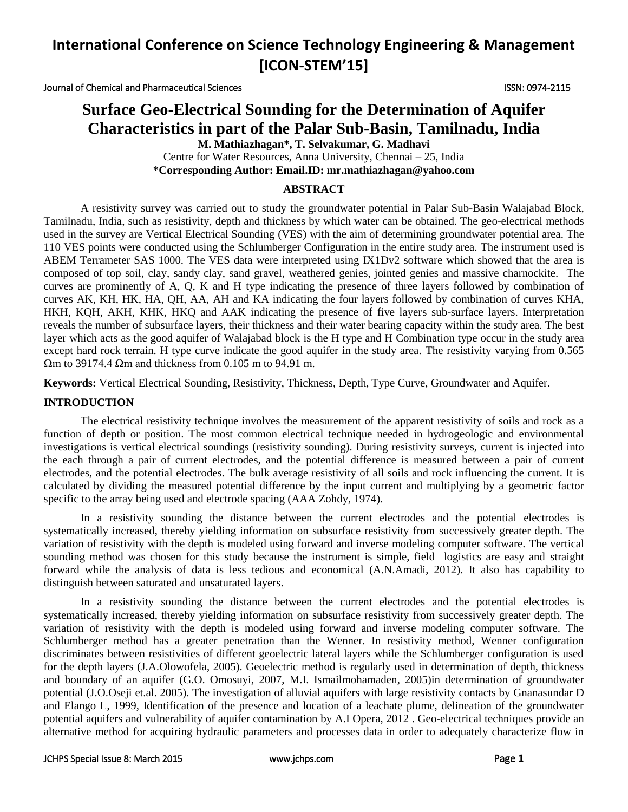Journal of Chemical and Pharmaceutical Sciences ISSN: 0974-2115

# **Surface Geo-Electrical Sounding for the Determination of Aquifer Characteristics in part of the Palar Sub-Basin, Tamilnadu, India**

**M. Mathiazhagan\*, T. Selvakumar, G. Madhavi**

Centre for Water Resources, Anna University, Chennai – 25, India **\*Corresponding Author: Email.ID: mr.mathiazhagan@yahoo.com**

#### **ABSTRACT**

A resistivity survey was carried out to study the groundwater potential in Palar Sub-Basin Walajabad Block, Tamilnadu, India, such as resistivity, depth and thickness by which water can be obtained. The geo-electrical methods used in the survey are Vertical Electrical Sounding (VES) with the aim of determining groundwater potential area. The 110 VES points were conducted using the Schlumberger Configuration in the entire study area. The instrument used is ABEM Terrameter SAS 1000. The VES data were interpreted using IX1Dv2 software which showed that the area is composed of top soil, clay, sandy clay, sand gravel, weathered genies, jointed genies and massive charnockite. The curves are prominently of A, Q, K and H type indicating the presence of three layers followed by combination of curves AK, KH, HK, HA, QH, AA, AH and KA indicating the four layers followed by combination of curves KHA, HKH, KQH, AKH, KHK, HKQ and AAK indicating the presence of five layers sub-surface layers. Interpretation reveals the number of subsurface layers, their thickness and their water bearing capacity within the study area. The best layer which acts as the good aquifer of Walajabad block is the H type and H Combination type occur in the study area except hard rock terrain. H type curve indicate the good aquifer in the study area. The resistivity varying from 0.565 Ωm to 39174.4 Ωm and thickness from 0.105 m to 94.91 m.

**Keywords:** Vertical Electrical Sounding, Resistivity, Thickness, Depth, Type Curve, Groundwater and Aquifer.

#### **INTRODUCTION**

The electrical resistivity technique involves the measurement of the apparent resistivity of soils and rock as a function of depth or position. The most common electrical technique needed in hydrogeologic and environmental investigations is vertical electrical soundings (resistivity sounding). During resistivity surveys, current is injected into the each through a pair of current electrodes, and the potential difference is measured between a pair of current electrodes, and the potential electrodes. The bulk average resistivity of all soils and rock influencing the current. It is calculated by dividing the measured potential difference by the input current and multiplying by a geometric factor specific to the array being used and electrode spacing (AAA Zohdy, 1974).

In a resistivity sounding the distance between the current electrodes and the potential electrodes is systematically increased, thereby yielding information on subsurface resistivity from successively greater depth. The variation of resistivity with the depth is modeled using forward and inverse modeling computer software. The vertical sounding method was chosen for this study because the instrument is simple, field logistics are easy and straight forward while the analysis of data is less tedious and economical (A.N.Amadi, 2012). It also has capability to distinguish between saturated and unsaturated layers.

In a resistivity sounding the distance between the current electrodes and the potential electrodes is systematically increased, thereby yielding information on subsurface resistivity from successively greater depth. The variation of resistivity with the depth is modeled using forward and inverse modeling computer software. The Schlumberger method has a greater penetration than the Wenner. In resistivity method, Wenner configuration discriminates between resistivities of different geoelectric lateral layers while the Schlumberger configuration is used for the depth layers (J.A.Olowofela, 2005). Geoelectric method is regularly used in determination of depth, thickness and boundary of an aquifer (G.O. Omosuyi, 2007, M.I. Ismailmohamaden, 2005)in determination of groundwater potential (J.O.Oseji et.al. 2005). The investigation of alluvial aquifers with large resistivity contacts by Gnanasundar D and Elango L, 1999, Identification of the presence and location of a leachate plume, delineation of the groundwater potential aquifers and vulnerability of aquifer contamination by A.I Opera, 2012 . Geo-electrical techniques provide an alternative method for acquiring hydraulic parameters and processes data in order to adequately characterize flow in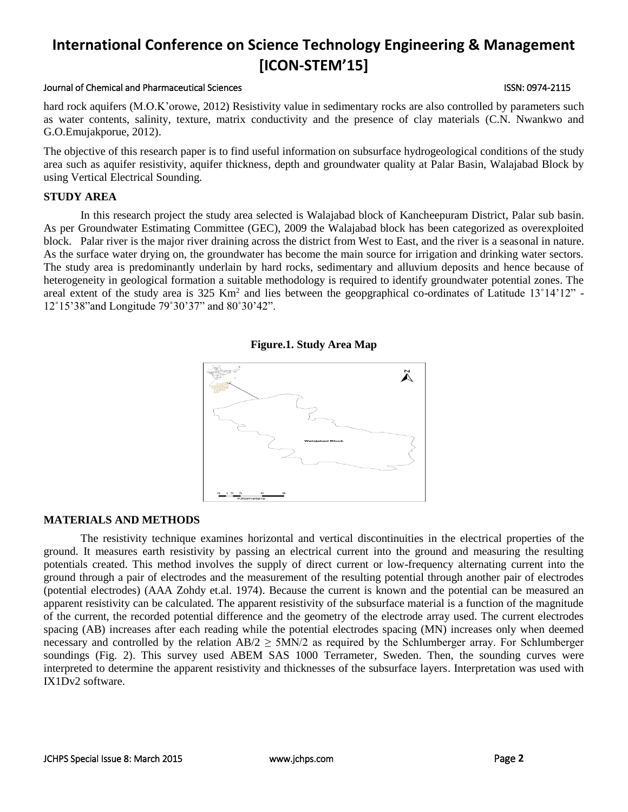#### Journal of Chemical and Pharmaceutical Sciences ISSN: 0974-2115

hard rock aquifers (M.O.K'orowe, 2012) Resistivity value in sedimentary rocks are also controlled by parameters such as water contents, salinity, texture, matrix conductivity and the presence of clay materials (C.N. Nwankwo and G.O.Emujakporue, 2012).

The objective of this research paper is to find useful information on subsurface hydrogeological conditions of the study area such as aquifer resistivity, aquifer thickness, depth and groundwater quality at Palar Basin, Walajabad Block by using Vertical Electrical Sounding.

#### **STUDY AREA**

In this research project the study area selected is Walajabad block of Kancheepuram District, Palar sub basin. As per Groundwater Estimating Committee (GEC), 2009 the Walajabad block has been categorized as overexploited block. Palar river is the major river draining across the district from West to East, and the river is a seasonal in nature. As the surface water drying on, the groundwater has become the main source for irrigation and drinking water sectors. The study area is predominantly underlain by hard rocks, sedimentary and alluvium deposits and hence because of heterogeneity in geological formation a suitable methodology is required to identify groundwater potential zones. The areal extent of the study area is  $325 \text{ Km}^2$  and lies between the geopgraphical co-ordinates of Latitude  $13^{\circ}14'12''$  -12˚15'38"and Longitude 79˚30'37" and 80˚30'42".





#### **MATERIALS AND METHODS**

The resistivity technique examines horizontal and vertical discontinuities in the electrical properties of the ground. It measures earth resistivity by passing an electrical current into the ground and measuring the resulting potentials created. This method involves the supply of direct current or low-frequency alternating current into the ground through a pair of electrodes and the measurement of the resulting potential through another pair of electrodes (potential electrodes) (AAA Zohdy et.al. 1974). Because the current is known and the potential can be measured an apparent resistivity can be calculated. The apparent resistivity of the subsurface material is a function of the magnitude of the current, the recorded potential difference and the geometry of the electrode array used. The current electrodes spacing (AB) increases after each reading while the potential electrodes spacing (MN) increases only when deemed necessary and controlled by the relation  $AB/2 \geq 5MN/2$  as required by the Schlumberger array. For Schlumberger soundings (Fig. 2). This survey used ABEM SAS 1000 Terrameter, Sweden. Then, the sounding curves were interpreted to determine the apparent resistivity and thicknesses of the subsurface layers. Interpretation was used with IX1Dv2 software.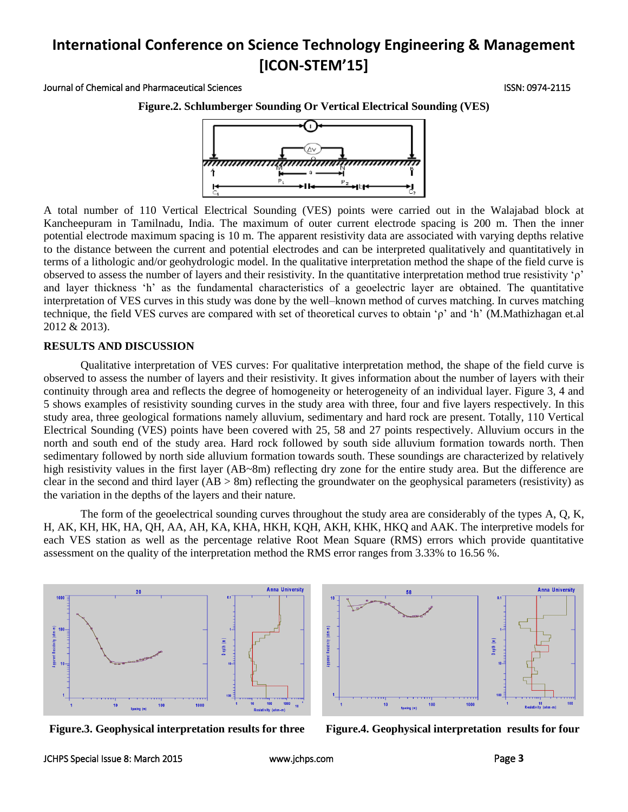#### Journal of Chemical and Pharmaceutical Sciences ISSN: 0974-2115

**Figure.2. Schlumberger Sounding Or Vertical Electrical Sounding (VES)**



A total number of 110 Vertical Electrical Sounding (VES) points were carried out in the Walajabad block at Kancheepuram in Tamilnadu, India. The maximum of outer current electrode spacing is 200 m. Then the inner potential electrode maximum spacing is 10 m. The apparent resistivity data are associated with varying depths relative to the distance between the current and potential electrodes and can be interpreted qualitatively and quantitatively in terms of a lithologic and/or geohydrologic model. In the qualitative interpretation method the shape of the field curve is observed to assess the number of layers and their resistivity. In the quantitative interpretation method true resistivity 'ρ' and layer thickness 'h' as the fundamental characteristics of a geoelectric layer are obtained. The quantitative interpretation of VES curves in this study was done by the well–known method of curves matching. In curves matching technique, the field VES curves are compared with set of theoretical curves to obtain 'ρ' and 'h' (M.Mathizhagan et.al 2012 & 2013).

#### **RESULTS AND DISCUSSION**

Qualitative interpretation of VES curves: For qualitative interpretation method, the shape of the field curve is observed to assess the number of layers and their resistivity. It gives information about the number of layers with their continuity through area and reflects the degree of homogeneity or heterogeneity of an individual layer. Figure 3, 4 and 5 shows examples of resistivity sounding curves in the study area with three, four and five layers respectively. In this study area, three geological formations namely alluvium, sedimentary and hard rock are present. Totally, 110 Vertical Electrical Sounding (VES) points have been covered with 25, 58 and 27 points respectively. Alluvium occurs in the north and south end of the study area. Hard rock followed by south side alluvium formation towards north. Then sedimentary followed by north side alluvium formation towards south. These soundings are characterized by relatively high resistivity values in the first layer (AB~8m) reflecting dry zone for the entire study area. But the difference are clear in the second and third layer ( $AB > 8m$ ) reflecting the groundwater on the geophysical parameters (resistivity) as the variation in the depths of the layers and their nature.

The form of the geoelectrical sounding curves throughout the study area are considerably of the types A, Q, K, H, AK, KH, HK, HA, QH, AA, AH, KA, KHA, HKH, KQH, AKH, KHK, HKQ and AAK. The interpretive models for each VES station as well as the percentage relative Root Mean Square (RMS) errors which provide quantitative assessment on the quality of the interpretation method the RMS error ranges from 3.33% to 16.56 %.





**Figure.3. Geophysical interpretation results for three Figure.4. Geophysical interpretation results for four**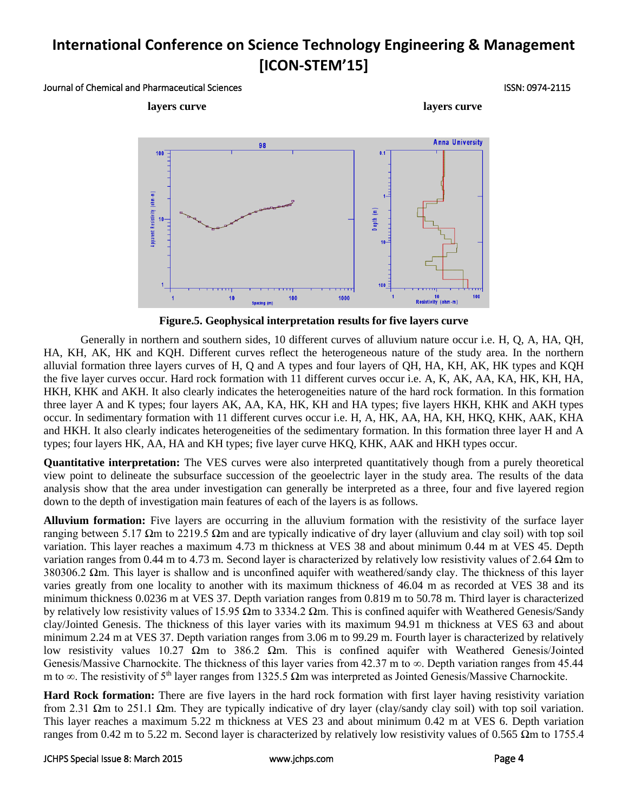#### Journal of Chemical and Pharmaceutical Sciences ISSN: 0974-2115



**Figure.5. Geophysical interpretation results for five layers curve**

Generally in northern and southern sides, 10 different curves of alluvium nature occur i.e. H, Q, A, HA, QH, HA, KH, AK, HK and KQH. Different curves reflect the heterogeneous nature of the study area. In the northern alluvial formation three layers curves of H, Q and A types and four layers of QH, HA, KH, AK, HK types and KQH the five layer curves occur. Hard rock formation with 11 different curves occur i.e. A, K, AK, AA, KA, HK, KH, HA, HKH, KHK and AKH. It also clearly indicates the heterogeneities nature of the hard rock formation. In this formation three layer A and K types; four layers AK, AA, KA, HK, KH and HA types; five layers HKH, KHK and AKH types occur. In sedimentary formation with 11 different curves occur i.e. H, A, HK, AA, HA, KH, HKQ, KHK, AAK, KHA and HKH. It also clearly indicates heterogeneities of the sedimentary formation. In this formation three layer H and A types; four layers HK, AA, HA and KH types; five layer curve HKQ, KHK, AAK and HKH types occur.

**Quantitative interpretation:** The VES curves were also interpreted quantitatively though from a purely theoretical view point to delineate the subsurface succession of the geoelectric layer in the study area. The results of the data analysis show that the area under investigation can generally be interpreted as a three, four and five layered region down to the depth of investigation main features of each of the layers is as follows.

**Alluvium formation:** Five layers are occurring in the alluvium formation with the resistivity of the surface layer ranging between 5.17 Ωm to 2219.5 Ωm and are typically indicative of dry layer (alluvium and clay soil) with top soil variation. This layer reaches a maximum 4.73 m thickness at VES 38 and about minimum 0.44 m at VES 45. Depth variation ranges from 0.44 m to 4.73 m. Second layer is characterized by relatively low resistivity values of 2.64 Ωm to 380306.2  $\Omega$ m. This layer is shallow and is unconfined aquifer with weathered/sandy clay. The thickness of this layer varies greatly from one locality to another with its maximum thickness of 46.04 m as recorded at VES 38 and its minimum thickness 0.0236 m at VES 37. Depth variation ranges from 0.819 m to 50.78 m. Third layer is characterized by relatively low resistivity values of 15.95  $\Omega$ m to 3334.2  $\Omega$ m. This is confined aquifer with Weathered Genesis/Sandy clay/Jointed Genesis. The thickness of this layer varies with its maximum 94.91 m thickness at VES 63 and about minimum 2.24 m at VES 37. Depth variation ranges from 3.06 m to 99.29 m. Fourth layer is characterized by relatively low resistivity values 10.27 Ωm to 386.2 Ωm. This is confined aquifer with Weathered Genesis/Jointed Genesis/Massive Charnockite. The thickness of this layer varies from 42.37 m to ∞. Depth variation ranges from 45.44 m to ∞. The resistivity of 5<sup>th</sup> layer ranges from 1325.5 Ωm was interpreted as Jointed Genesis/Massive Charnockite.

**Hard Rock formation:** There are five layers in the hard rock formation with first layer having resistivity variation from 2.31 Ωm to 251.1 Ωm. They are typically indicative of dry layer (clay/sandy clay soil) with top soil variation. This layer reaches a maximum 5.22 m thickness at VES 23 and about minimum 0.42 m at VES 6. Depth variation ranges from 0.42 m to 5.22 m. Second layer is characterized by relatively low resistivity values of 0.565 Ωm to 1755.4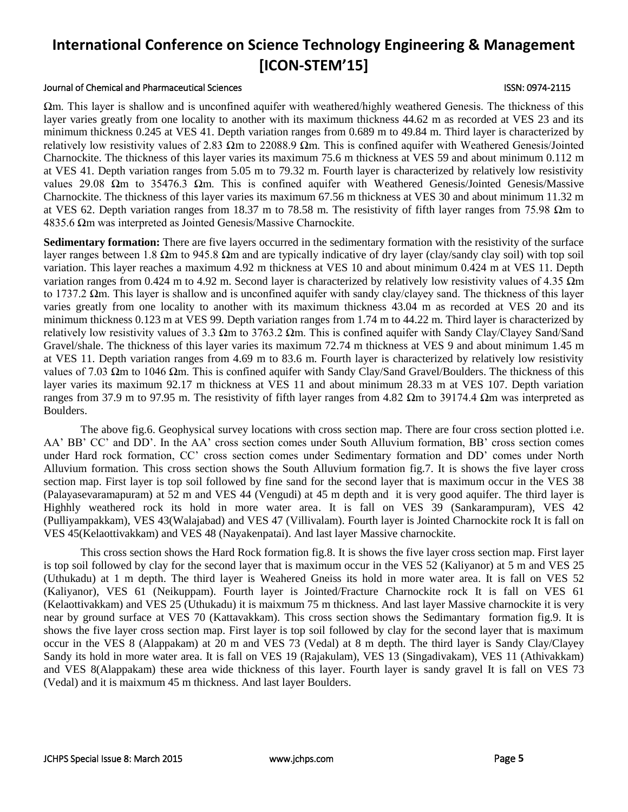#### Journal of Chemical and Pharmaceutical Sciences ISSN: 0974-2115

Ωm. This layer is shallow and is unconfined aquifer with weathered/highly weathered Genesis. The thickness of this layer varies greatly from one locality to another with its maximum thickness 44.62 m as recorded at VES 23 and its minimum thickness 0.245 at VES 41. Depth variation ranges from 0.689 m to 49.84 m. Third layer is characterized by relatively low resistivity values of 2.83 Ωm to 22088.9 Ωm. This is confined aquifer with Weathered Genesis/Jointed Charnockite. The thickness of this layer varies its maximum 75.6 m thickness at VES 59 and about minimum 0.112 m at VES 41. Depth variation ranges from 5.05 m to 79.32 m. Fourth layer is characterized by relatively low resistivity values 29.08  $\Omega$ m to 35476.3  $\Omega$ m. This is confined aquifer with Weathered Genesis/Jointed Genesis/Massive Charnockite. The thickness of this layer varies its maximum 67.56 m thickness at VES 30 and about minimum 11.32 m at VES 62. Depth variation ranges from 18.37 m to 78.58 m. The resistivity of fifth layer ranges from 75.98  $\Omega$ m to 4835.6 Ωm was interpreted as Jointed Genesis/Massive Charnockite.

**Sedimentary formation:** There are five layers occurred in the sedimentary formation with the resistivity of the surface layer ranges between 1.8  $\Omega$ m to 945.8  $\Omega$ m and are typically indicative of dry layer (clay/sandy clay soil) with top soil variation. This layer reaches a maximum 4.92 m thickness at VES 10 and about minimum 0.424 m at VES 11. Depth variation ranges from 0.424 m to 4.92 m. Second layer is characterized by relatively low resistivity values of 4.35  $\Omega$ m to 1737.2  $\Omega$ m. This layer is shallow and is unconfined aquifer with sandy clay/clayey sand. The thickness of this layer varies greatly from one locality to another with its maximum thickness 43.04 m as recorded at VES 20 and its minimum thickness 0.123 m at VES 99. Depth variation ranges from 1.74 m to 44.22 m. Third layer is characterized by relatively low resistivity values of 3.3 Ωm to 3763.2 Ωm. This is confined aquifer with Sandy Clay/Clayey Sand/Sand Gravel/shale. The thickness of this layer varies its maximum 72.74 m thickness at VES 9 and about minimum 1.45 m at VES 11. Depth variation ranges from 4.69 m to 83.6 m. Fourth layer is characterized by relatively low resistivity values of 7.03 Ωm to 1046 Ωm. This is confined aquifer with Sandy Clay/Sand Gravel/Boulders. The thickness of this layer varies its maximum 92.17 m thickness at VES 11 and about minimum 28.33 m at VES 107. Depth variation ranges from 37.9 m to 97.95 m. The resistivity of fifth layer ranges from 4.82 Ωm to 39174.4 Ωm was interpreted as Boulders.

The above fig.6. Geophysical survey locations with cross section map. There are four cross section plotted i.e. AA' BB' CC' and DD'. In the AA' cross section comes under South Alluvium formation, BB' cross section comes under Hard rock formation, CC' cross section comes under Sedimentary formation and DD' comes under North Alluvium formation. This cross section shows the South Alluvium formation fig.7. It is shows the five layer cross section map. First layer is top soil followed by fine sand for the second layer that is maximum occur in the VES 38 (Palayasevaramapuram) at 52 m and VES 44 (Vengudi) at 45 m depth and it is very good aquifer. The third layer is Highhly weathered rock its hold in more water area. It is fall on VES 39 (Sankarampuram), VES 42 (Pulliyampakkam), VES 43(Walajabad) and VES 47 (Villivalam). Fourth layer is Jointed Charnockite rock It is fall on VES 45(Kelaottivakkam) and VES 48 (Nayakenpatai). And last layer Massive charnockite.

This cross section shows the Hard Rock formation fig.8. It is shows the five layer cross section map. First layer is top soil followed by clay for the second layer that is maximum occur in the VES 52 (Kaliyanor) at 5 m and VES 25 (Uthukadu) at 1 m depth. The third layer is Weahered Gneiss its hold in more water area. It is fall on VES 52 (Kaliyanor), VES 61 (Neikuppam). Fourth layer is Jointed/Fracture Charnockite rock It is fall on VES 61 (Kelaottivakkam) and VES 25 (Uthukadu) it is maixmum 75 m thickness. And last layer Massive charnockite it is very near by ground surface at VES 70 (Kattavakkam). This cross section shows the Sedimantary formation fig.9. It is shows the five layer cross section map. First layer is top soil followed by clay for the second layer that is maximum occur in the VES 8 (Alappakam) at 20 m and VES 73 (Vedal) at 8 m depth. The third layer is Sandy Clay/Clayey Sandy its hold in more water area. It is fall on VES 19 (Rajakulam), VES 13 (Singadivakam), VES 11 (Athivakkam) and VES 8(Alappakam) these area wide thickness of this layer. Fourth layer is sandy gravel It is fall on VES 73 (Vedal) and it is maixmum 45 m thickness. And last layer Boulders.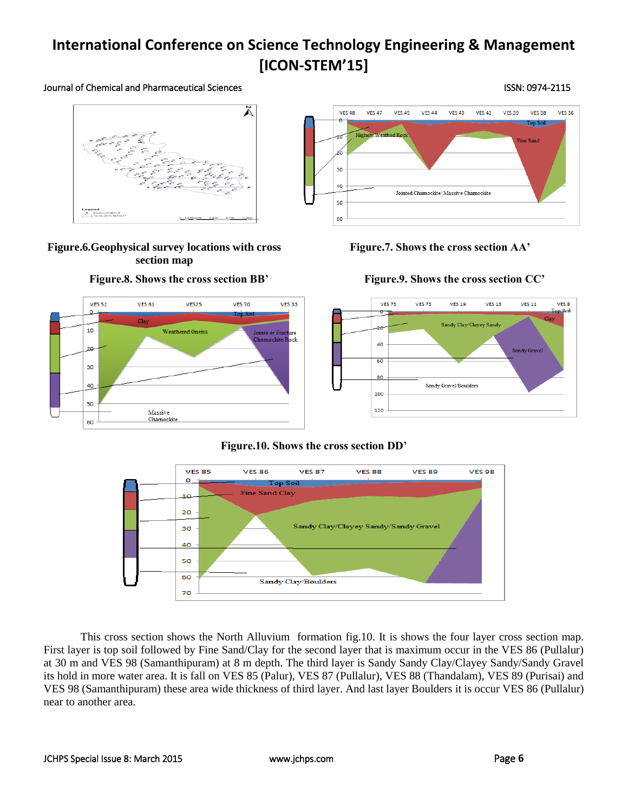#### Journal of Chemical and Pharmaceutical Sciences **ISSN: 0974-2115** ISSN: 0974-2115

# $\tilde{\mathbf{\Lambda}}$ Legend<br>- Export\_Output<br>- 10-12-2010-50

### **Figure.6.Geophysical survey locations with cross section map**

#### **VES 52 VES 61** VES25 **VES 70 VES 33** 10 **Weathered Gneiss** ointe or Fra ointe or Fracture<br>Chomockite R<mark>ock</mark> 30 40 50 Massive Chamockite 60

#### **VFS 48 VFS 47 VES 39 VFS 38 VES 36 VFS 45 VFS 44 VFS 43 VFS 42** op Soil **Highely Weathed Rock** 10 Fine Sand z6 30  $\Delta \Omega$ Jointed Charnockite/ Massive Charnockite 50 60

#### **Figure.7. Shows the cross section AA'**

## **Figure.8. Shows the cross section BB' Figure.9. Shows the cross section CC'**



## **Figure.10. Shows the cross section DD'**



This cross section shows the North Alluvium formation fig.10. It is shows the four layer cross section map. First layer is top soil followed by Fine Sand/Clay for the second layer that is maximum occur in the VES 86 (Pullalur) at 30 m and VES 98 (Samanthipuram) at 8 m depth. The third layer is Sandy Sandy Clay/Clayey Sandy/Sandy Gravel its hold in more water area. It is fall on VES 85 (Palur), VES 87 (Pullalur), VES 88 (Thandalam), VES 89 (Purisai) and VES 98 (Samanthipuram) these area wide thickness of third layer. And last layer Boulders it is occur VES 86 (Pullalur) near to another area.